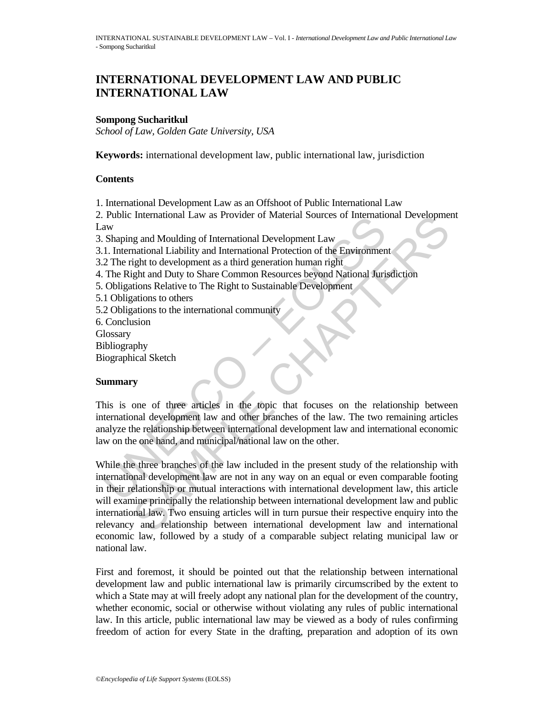# **INTERNATIONAL DEVELOPMENT LAW AND PUBLIC INTERNATIONAL LAW**

### **Sompong Sucharitkul**

*School of Law, Golden Gate University, USA* 

**Keywords:** international development law, public international law, jurisdiction

#### **Contents**

1. International Development Law as an Offshoot of Public International Law

2. Public International Law as Provider of Material Sources of International Development Law

3. Shaping and Moulding of International Development Law

- 3.1. International Liability and International Protection of the Environment
- 3.2 The right to development as a third generation human right
- 4. The Right and Duty to Share Common Resources beyond National Jurisdiction
- 5. Obligations Relative to The Right to Sustainable Development
- 5.1 Obligations to others
- 5.2 Obligations to the international community
- 6. Conclusion
- **Glossary**
- **Bibliography**
- Biographical Sketch

### **Summary**

Fundral manual case is the method of the relationship of the relationship and was rounded to the method.<br>
1. International Liability and International Protection of the Environment 2. The right to development as a third ge This is one of three articles in the topic that focuses on the relationship between international development law and other branches of the law. The two remaining articles analyze the relationship between international development law and international economic law on the one hand, and municipal/national law on the other.

International Law as Provider of Material Sources of international Development<br>
mational Liability and International Protection of the Environment<br>
mational Liability and International Protection of the Environment<br>
gight While the three branches of the law included in the present study of the relationship with international development law are not in any way on an equal or even comparable footing in their relationship or mutual interactions with international development law, this article will examine principally the relationship between international development law and public international law. Two ensuing articles will in turn pursue their respective enquiry into the relevancy and relationship between international development law and international economic law, followed by a study of a comparable subject relating municipal law or national law.

First and foremost, it should be pointed out that the relationship between international development law and public international law is primarily circumscribed by the extent to which a State may at will freely adopt any national plan for the development of the country, whether economic, social or otherwise without violating any rules of public international law. In this article, public international law may be viewed as a body of rules confirming freedom of action for every State in the drafting, preparation and adoption of its own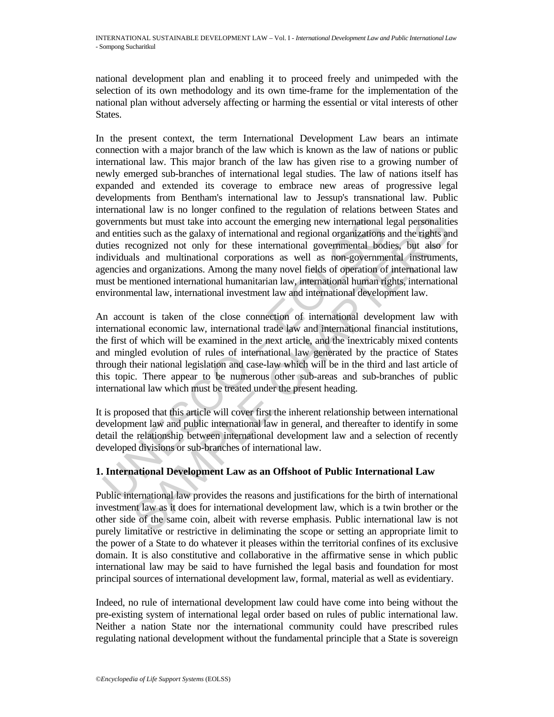national development plan and enabling it to proceed freely and unimpeded with the selection of its own methodology and its own time-frame for the implementation of the national plan without adversely affecting or harming the essential or vital interests of other States.

overnments but must take into account the emerging new international and entities such as the galaxy of international and regional organizations it disting recognized not only for these international governmental bodis did ents but must take into account the emerging new international legal personalities such as the galaxy of international and regional organizations and the tights and coronized not only for these international governmental b In the present context, the term International Development Law bears an intimate connection with a major branch of the law which is known as the law of nations or public international law. This major branch of the law has given rise to a growing number of newly emerged sub-branches of international legal studies. The law of nations itself has expanded and extended its coverage to embrace new areas of progressive legal developments from Bentham's international law to Jessup's transnational law. Public international law is no longer confined to the regulation of relations between States and governments but must take into account the emerging new international legal personalities and entities such as the galaxy of international and regional organizations and the rights and duties recognized not only for these international governmental bodies, but also for individuals and multinational corporations as well as non-governmental instruments, agencies and organizations. Among the many novel fields of operation of international law must be mentioned international humanitarian law, international human rights, international environmental law, international investment law and international development law.

An account is taken of the close connection of international development law with international economic law, international trade law and international financial institutions, the first of which will be examined in the next article, and the inextricably mixed contents and mingled evolution of rules of international law generated by the practice of States through their national legislation and case-law which will be in the third and last article of this topic. There appear to be numerous other sub-areas and sub-branches of public international law which must be treated under the present heading.

It is proposed that this article will cover first the inherent relationship between international development law and public international law in general, and thereafter to identify in some detail the relationship between international development law and a selection of recently developed divisions or sub-branches of international law.

### **1. International Development Law as an Offshoot of Public International Law**

Public international law provides the reasons and justifications for the birth of international investment law as it does for international development law, which is a twin brother or the other side of the same coin, albeit with reverse emphasis. Public international law is not purely limitative or restrictive in deliminating the scope or setting an appropriate limit to the power of a State to do whatever it pleases within the territorial confines of its exclusive domain. It is also constitutive and collaborative in the affirmative sense in which public international law may be said to have furnished the legal basis and foundation for most principal sources of international development law, formal, material as well as evidentiary.

Indeed, no rule of international development law could have come into being without the pre-existing system of international legal order based on rules of public international law. Neither a nation State nor the international community could have prescribed rules regulating national development without the fundamental principle that a State is sovereign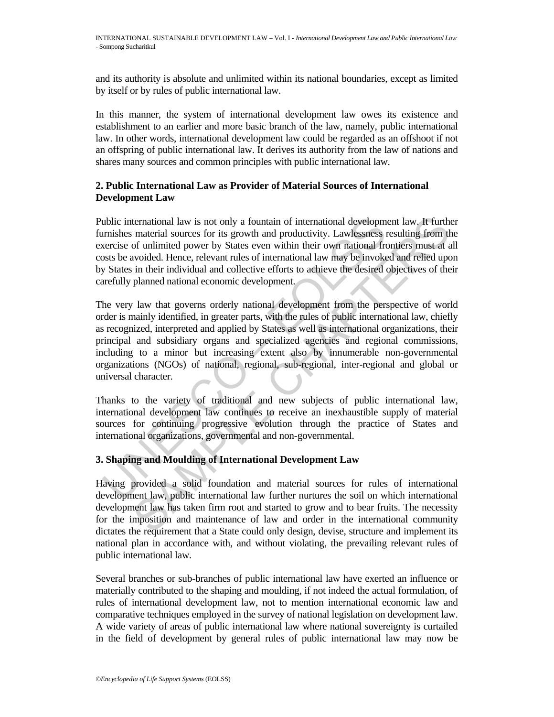and its authority is absolute and unlimited within its national boundaries, except as limited by itself or by rules of public international law.

In this manner, the system of international development law owes its existence and establishment to an earlier and more basic branch of the law, namely, public international law. In other words, international development law could be regarded as an offshoot if not an offspring of public international law. It derives its authority from the law of nations and shares many sources and common principles with public international law.

### **2. Public International Law as Provider of Material Sources of International Development Law**

Public international law is not only a fountain of international development law. It further furnishes material sources for its growth and productivity. Lawlessness resulting from the exercise of unlimited power by States even within their own national frontiers must at all costs be avoided. Hence, relevant rules of international law may be invoked and relied upon by States in their individual and collective efforts to achieve the desired objectives of their carefully planned national economic development.

ublic international law is not only a fountain of international developm<br>unishes material sources for its growth and productivity. Lawlessness restrise of unlimited power by States even within their own national frem<br>systs ternational law is not only a fountain of international development law. It furth<br>material sources for its growth and productivity. Lawkesness resulting from the<br>of unlimited power by States even within their own national The very law that governs orderly national development from the perspective of world order is mainly identified, in greater parts, with the rules of public international law, chiefly as recognized, interpreted and applied by States as well as international organizations, their principal and subsidiary organs and specialized agencies and regional commissions, including to a minor but increasing extent also by innumerable non-governmental organizations (NGOs) of national, regional, sub-regional, inter-regional and global or universal character.

Thanks to the variety of traditional and new subjects of public international law, international development law continues to receive an inexhaustible supply of material sources for continuing progressive evolution through the practice of States and international organizations, governmental and non-governmental.

## **3. Shaping and Moulding of International Development Law**

Having provided a solid foundation and material sources for rules of international development law, public international law further nurtures the soil on which international development law has taken firm root and started to grow and to bear fruits. The necessity for the imposition and maintenance of law and order in the international community dictates the requirement that a State could only design, devise, structure and implement its national plan in accordance with, and without violating, the prevailing relevant rules of public international law.

Several branches or sub-branches of public international law have exerted an influence or materially contributed to the shaping and moulding, if not indeed the actual formulation, of rules of international development law, not to mention international economic law and comparative techniques employed in the survey of national legislation on development law. A wide variety of areas of public international law where national sovereignty is curtailed in the field of development by general rules of public international law may now be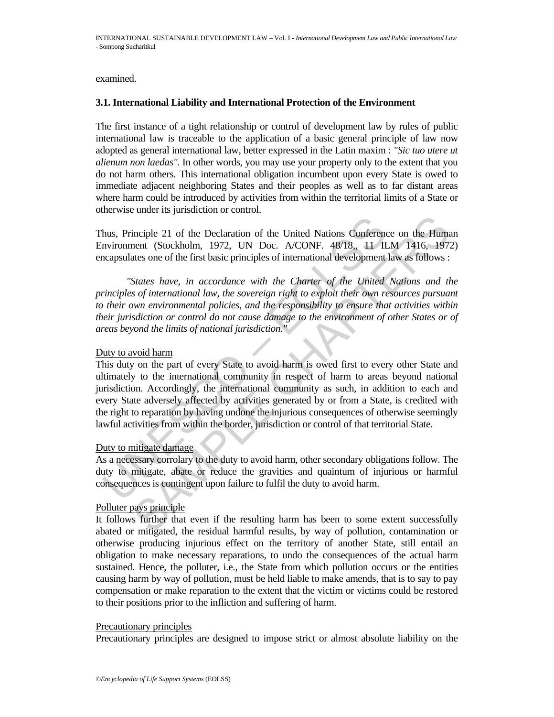examined.

#### **3.1. International Liability and International Protection of the Environment**

The first instance of a tight relationship or control of development law by rules of public international law is traceable to the application of a basic general principle of law now adopted as general international law, better expressed in the Latin maxim : *"Sic tuo utere ut alienum non laedas".* In other words, you may use your property only to the extent that you do not harm others. This international obligation incumbent upon every State is owed to immediate adjacent neighboring States and their peoples as well as to far distant areas where harm could be introduced by activities from within the territorial limits of a State or otherwise under its jurisdiction or control.

Thus, Principle 21 of the Declaration of the United Nations Conference on the Human Environment (Stockholm, 1972, UN Doc. A/CONF. 48/18,, 11 ILM 1416, 1972) encapsulates one of the first basic principles of international development law as follows :

 *"States have, in accordance with the Charter of the United Nations and the principles of international law, the sovereign right to exploit their own resources pursuant to their own environmental policies, and the responsibility to ensure that activities within their jurisdiction or control do not cause damage to the environment of other States or of areas beyond the limits of national jurisdiction."*

#### Duty to avoid harm

hus, Principle 21 of the Declaration of the United Nations Conferent<br>nvironment (Stockholm, 1972, UN Doc. A/CONF. 48/18, 11 II<br>capsulates one of the first basic principles of international development<br>"States have, in acco inciple 21 of the Declaration of the United Nations Conference on the Humenent (Stockholm, 1972, UN Doc. A/CONF. 48/18, 11 ILM 1416, 1973<br>ates one of the first basic principles of international development law as follows : This duty on the part of every State to avoid harm is owed first to every other State and ultimately to the international community in respect of harm to areas beyond national jurisdiction. Accordingly, the international community as such, in addition to each and every State adversely affected by activities generated by or from a State, is credited with the right to reparation by having undone the injurious consequences of otherwise seemingly lawful activities from within the border, jurisdiction or control of that territorial State.

### Duty to mitigate damage

As a necessary corrolary to the duty to avoid harm, other secondary obligations follow. The duty to mitigate, abate or reduce the gravities and quaintum of injurious or harmful consequences is contingent upon failure to fulfil the duty to avoid harm.

### Polluter pays principle

It follows further that even if the resulting harm has been to some extent successfully abated or mitigated, the residual harmful results, by way of pollution, contamination or otherwise producing injurious effect on the territory of another State, still entail an obligation to make necessary reparations, to undo the consequences of the actual harm sustained. Hence, the polluter, i.e., the State from which pollution occurs or the entities causing harm by way of pollution, must be held liable to make amends, that is to say to pay compensation or make reparation to the extent that the victim or victims could be restored to their positions prior to the infliction and suffering of harm.

#### Precautionary principles

Precautionary principles are designed to impose strict or almost absolute liability on the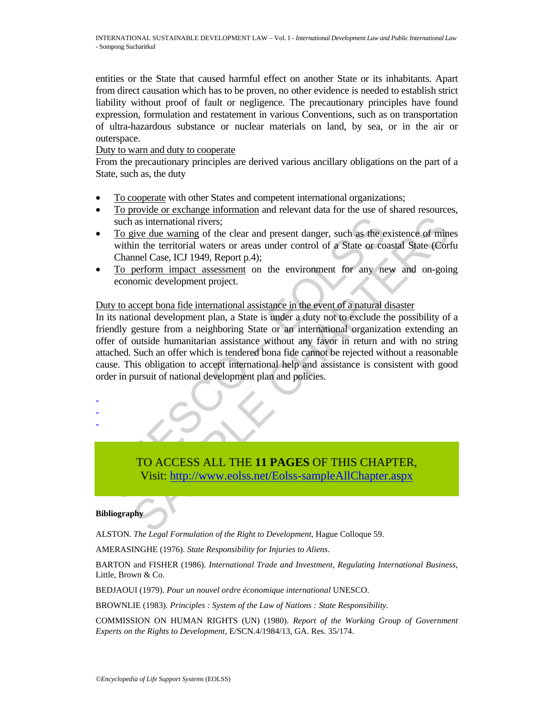entities or the State that caused harmful effect on another State or its inhabitants. Apart from direct causation which has to be proven, no other evidence is needed to establish strict liability without proof of fault or negligence. The precautionary principles have found expression, formulation and restatement in various Conventions, such as on transportation of ultra-hazardous substance or nuclear materials on land, by sea, or in the air or outerspace.

#### Duty to warn and duty to cooperate

From the precautionary principles are derived various ancillary obligations on the part of a State, such as, the duty

- To cooperate with other States and competent international organizations;
- To provide or exchange information and relevant data for the use of shared resources, such as international rivers;
- To give due warning of the clear and present danger, such as the existence of mines within the territorial waters or areas under control of a State or coastal State (Corfu Channel Case, ICJ 1949, Report p.4);
- To perform impact assessment on the environment for any new and on-going economic development project.

### Duty to accept bona fide international assistance in the event of a natural disaster

such as international rivers;<br>
To give due warning of the clear and present danger, such as the e<br>
within the territorial waters or areas under control of a State or co:<br>
Channel Case, ICI 1949, Report p.4);<br>
<u>To perform i</u> as international rivers;<br>
in as international rivers;<br>
in the territorial waters or areas under control of a State or coastal State (Cort<br>
in the territorial waters or areas under control of a State or coastal State (Cort<br> In its national development plan, a State is under a duty not to exclude the possibility of a friendly gesture from a neighboring State or an international organization extending an offer of outside humanitarian assistance without any favor in return and with no string attached. Such an offer which is tendered bona fide cannot be rejected without a reasonable cause. This obligation to accept international help and assistance is consistent with good order in pursuit of national development plan and policies.



#### **Bibliography**

- - -

ALSTON. *The Legal Formulation of the Right to Development*, Hague Colloque 59.

AMERASINGHE (1976). *State Responsibility for Injuries to Aliens*.

BARTON and FISHER (1986). *International Trade and Investment, Regulating International Business*, Little, Brown & Co.

BEDJAOUI (1979). *Pour un nouvel ordre économique international* UNESCO.

BROWNLIE (1983). *Principles : System of the Law of Nations : State Responsibility.*

COMMISSION ON HUMAN RIGHTS (UN) (1980). *Report of the Working Group of Government Experts on the Rights to Development*, E/SCN.4/1984/13, GA. Res. 35/174.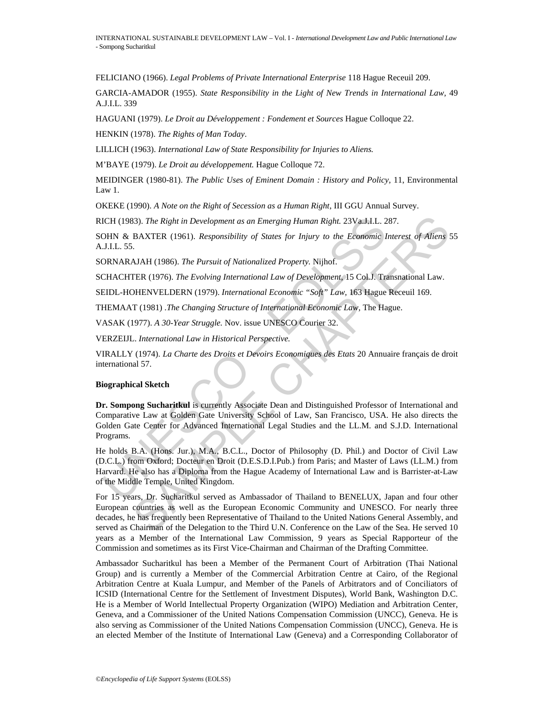FELICIANO (1966). *Legal Problems of Private International Enterprise* 118 Hague Receuil 209.

GARCIA-AMADOR (1955). *State Responsibility in the Light of New Trends in International Law,* 49 A.J.I.L. 339

HAGUANI (1979). *Le Droit au Développement : Fondement et Sources* Hague Colloque 22.

HENKIN (1978). *The Rights of Man Today*.

LILLICH (1963). *International Law of State Responsibility for Injuries to Aliens.*

M'BAYE (1979). *Le Droit au développement.* Hague Colloque 72.

MEIDINGER (1980-81). *The Public Uses of Eminent Domain : History and Policy,* 11, Environmental Law 1.

OKEKE (1990). *A Note on the Right of Secession as a Human Right*, III GGU Annual Survey.

RICH (1983). *The Right in Development as an Emerging Human Right.* 23Va.J.I.L. 287.

SOHN & BAXTER (1961). *Responsibility of States for Injury to the Economic Interest of Aliens* 55 A.J.I.L. 55.

SORNARAJAH (1986). *The Pursuit of Nationalized Property.* Nijhof.

SCHACHTER (1976). *The Evolving International Law of Development,* 15 Col.J. Transnational Law.

SEIDL-HOHENVELDERN (1979). *International Economic "Soft" Law,* 163 Hague Receuil 169.

THEMAAT (1981) .*The Changing Structure of International Economic Law,* The Hague.

VASAK (1977). *A 30-Year Struggle.* Nov. issue UNESCO Courier 32.

VERZEIJL. *International Law in Historical Perspective.*

VIRALLY (1974). *La Charte des Droits et Devoirs Economiques des Etats* 20 Annuaire français de droit international 57.

#### **Biographical Sketch**

**Dr. Sompong Sucharitkul** is currently Associate Dean and Distinguished Professor of International and Comparative Law at Golden Gate University School of Law, San Francisco, USA. He also directs the Golden Gate Center for Advanced International Legal Studies and the LL.M. and S.J.D. International Programs.

ICH (1983). *The Right in Development as an Emerging Human Right.* 23VaJ.J.L. 2<br>
JHN & BAXTER (1961). *Responsibility of States for Injury to the Economic I*<br>
J.J.L. 55.<br>
ORNARAJAH (1986). *The Pursuit of Nationalized Prop* He holds B.A. (Hons. Jur.), M.A., B.C.L., Doctor of Philosophy (D. Phil.) and Doctor of Civil Law (D.C.L.) from Oxford; Docteur en Droit (D.E.S.D.I.Pub.) from Paris; and Master of Laws (LL.M.) from Harvard. He also has a Diploma from the Hague Academy of International Law and is Barrister-at-Law of the Middle Temple, United Kingdom.

33). The Right in Development as an Emerging Human Right. 23Vy<sub>34</sub>J,I, 287.<br>
BAXTER (1961). Responsibility of States for Injury to the Economic Interest of Aliens 3.<br>
AJAH (1986). The Pursuit of Nationalized Property. Nijh For 15 years, Dr. Sucharitkul served as Ambassador of Thailand to BENELUX, Japan and four other European countries as well as the European Economic Community and UNESCO. For nearly three decades, he has frequently been Representative of Thailand to the United Nations General Assembly, and served as Chairman of the Delegation to the Third U.N. Conference on the Law of the Sea. He served 10 years as a Member of the International Law Commission, 9 years as Special Rapporteur of the Commission and sometimes as its First Vice-Chairman and Chairman of the Drafting Committee.

Ambassador Sucharitkul has been a Member of the Permanent Court of Arbitration (Thai National Group) and is currently a Member of the Commercial Arbitration Centre at Cairo, of the Regional Arbitration Centre at Kuala Lumpur, and Member of the Panels of Arbitrators and of Conciliators of ICSID (International Centre for the Settlement of Investment Disputes), World Bank, Washington D.C. He is a Member of World Intellectual Property Organization (WIPO) Mediation and Arbitration Center, Geneva, and a Commissioner of the United Nations Compensation Commission (UNCC), Geneva. He is also serving as Commissioner of the United Nations Compensation Commission (UNCC), Geneva. He is an elected Member of the Institute of International Law (Geneva) and a Corresponding Collaborator of